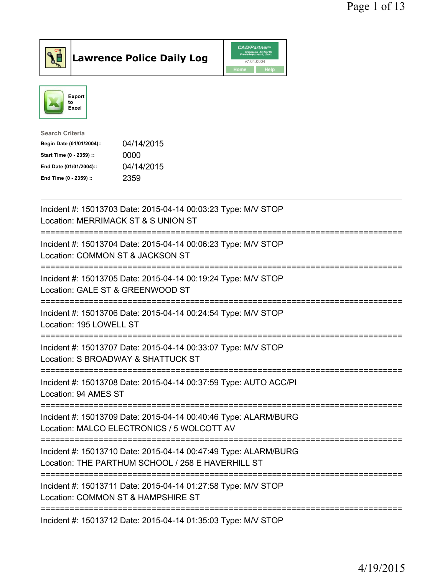

## Lawrence Police Daily Log

|      | <b>CAD/Partner</b> <sup>*</sup><br><b>Queues Enforth</b><br>Development, Inc. |
|------|-------------------------------------------------------------------------------|
|      | v7.04.0004                                                                    |
| Home | Help                                                                          |



| Search Criteria           |            |
|---------------------------|------------|
| Begin Date (01/01/2004):: | 04/14/2015 |
| Start Time (0 - 2359) ::  | 0000       |
| End Date (01/01/2004)::   | 04/14/2015 |
| End Time (0 - 2359) ::    | 2359       |
|                           |            |

| Incident #: 15013703 Date: 2015-04-14 00:03:23 Type: M/V STOP<br>Location: MERRIMACK ST & S UNION ST                                                  |
|-------------------------------------------------------------------------------------------------------------------------------------------------------|
| Incident #: 15013704 Date: 2015-04-14 00:06:23 Type: M/V STOP<br>Location: COMMON ST & JACKSON ST                                                     |
| Incident #: 15013705 Date: 2015-04-14 00:19:24 Type: M/V STOP<br>Location: GALE ST & GREENWOOD ST                                                     |
| Incident #: 15013706 Date: 2015-04-14 00:24:54 Type: M/V STOP<br>Location: 195 LOWELL ST<br>:==================                                       |
| Incident #: 15013707 Date: 2015-04-14 00:33:07 Type: M/V STOP<br>Location: S BROADWAY & SHATTUCK ST<br>=============================                  |
| Incident #: 15013708 Date: 2015-04-14 00:37:59 Type: AUTO ACC/PI<br>Location: 94 AMES ST                                                              |
| Incident #: 15013709 Date: 2015-04-14 00:40:46 Type: ALARM/BURG<br>Location: MALCO ELECTRONICS / 5 WOLCOTT AV<br>:=================================== |
| Incident #: 15013710 Date: 2015-04-14 00:47:49 Type: ALARM/BURG<br>Location: THE PARTHUM SCHOOL / 258 E HAVERHILL ST                                  |
| Incident #: 15013711 Date: 2015-04-14 01:27:58 Type: M/V STOP<br>Location: COMMON ST & HAMPSHIRE ST                                                   |
| Incident #: 15013712 Date: 2015-04-14 01:35:03 Type: M/V STOP                                                                                         |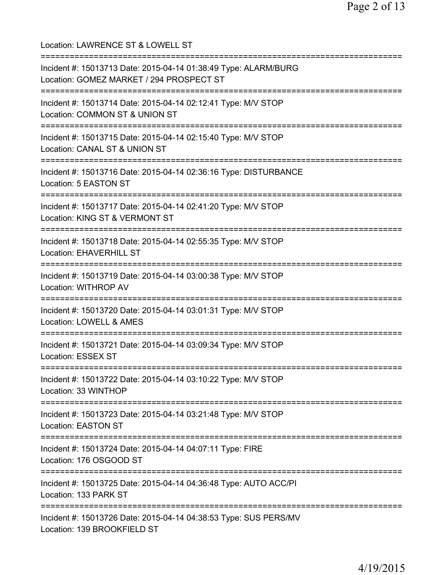Location: LAWRENCE ST & LOWELL ST =========================================================================== Incident #: 15013713 Date: 2015-04-14 01:38:49 Type: ALARM/BURG Location: GOMEZ MARKET / 294 PROSPECT ST =========================================================================== Incident #: 15013714 Date: 2015-04-14 02:12:41 Type: M/V STOP Location: COMMON ST & UNION ST =========================================================================== Incident #: 15013715 Date: 2015-04-14 02:15:40 Type: M/V STOP Location: CANAL ST & UNION ST =========================================================================== Incident #: 15013716 Date: 2015-04-14 02:36:16 Type: DISTURBANCE Location: 5 EASTON ST =========================================================================== Incident #: 15013717 Date: 2015-04-14 02:41:20 Type: M/V STOP Location: KING ST & VERMONT ST =========================================================================== Incident #: 15013718 Date: 2015-04-14 02:55:35 Type: M/V STOP Location: EHAVERHILL ST =========================================================================== Incident #: 15013719 Date: 2015-04-14 03:00:38 Type: M/V STOP Location: WITHROP AV =========================================================================== Incident #: 15013720 Date: 2015-04-14 03:01:31 Type: M/V STOP Location: LOWELL & AMES =========================================================================== Incident #: 15013721 Date: 2015-04-14 03:09:34 Type: M/V STOP Location: ESSEX ST =========================================================================== Incident #: 15013722 Date: 2015-04-14 03:10:22 Type: M/V STOP Location: 33 WINTHOP =========================================================================== Incident #: 15013723 Date: 2015-04-14 03:21:48 Type: M/V STOP Location: EASTON ST =========================================================================== Incident #: 15013724 Date: 2015-04-14 04:07:11 Type: FIRE Location: 176 OSGOOD ST =========================================================================== Incident #: 15013725 Date: 2015-04-14 04:36:48 Type: AUTO ACC/PI Location: 133 PARK ST =========================================================================== Incident #: 15013726 Date: 2015-04-14 04:38:53 Type: SUS PERS/MV Location: 139 BROOKFIELD ST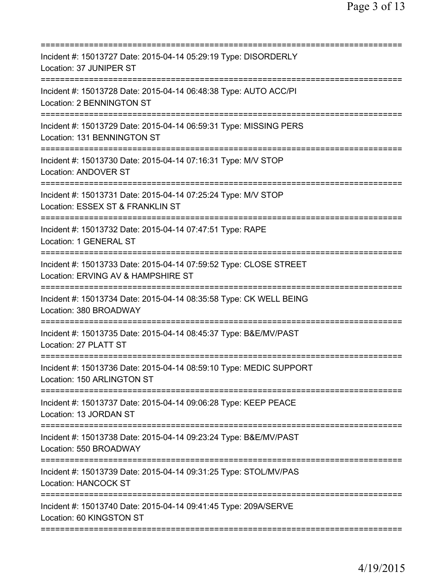| Incident #: 15013727 Date: 2015-04-14 05:29:19 Type: DISORDERLY<br>Location: 37 JUNIPER ST<br>====================<br>=================== |
|-------------------------------------------------------------------------------------------------------------------------------------------|
| Incident #: 15013728 Date: 2015-04-14 06:48:38 Type: AUTO ACC/PI<br>Location: 2 BENNINGTON ST                                             |
| Incident #: 15013729 Date: 2015-04-14 06:59:31 Type: MISSING PERS<br>Location: 131 BENNINGTON ST                                          |
| Incident #: 15013730 Date: 2015-04-14 07:16:31 Type: M/V STOP<br><b>Location: ANDOVER ST</b>                                              |
| Incident #: 15013731 Date: 2015-04-14 07:25:24 Type: M/V STOP<br>Location: ESSEX ST & FRANKLIN ST                                         |
| Incident #: 15013732 Date: 2015-04-14 07:47:51 Type: RAPE<br><b>Location: 1 GENERAL ST</b>                                                |
| Incident #: 15013733 Date: 2015-04-14 07:59:52 Type: CLOSE STREET<br>Location: ERVING AV & HAMPSHIRE ST                                   |
| Incident #: 15013734 Date: 2015-04-14 08:35:58 Type: CK WELL BEING<br>Location: 380 BROADWAY                                              |
| Incident #: 15013735 Date: 2015-04-14 08:45:37 Type: B&E/MV/PAST<br>Location: 27 PLATT ST                                                 |
| Incident #: 15013736 Date: 2015-04-14 08:59:10 Type: MEDIC SUPPORT<br>Location: 150 ARLINGTON ST                                          |
| Incident #: 15013737 Date: 2015-04-14 09:06:28 Type: KEEP PEACE<br>Location: 13 JORDAN ST                                                 |
| Incident #: 15013738 Date: 2015-04-14 09:23:24 Type: B&E/MV/PAST<br>Location: 550 BROADWAY                                                |
| Incident #: 15013739 Date: 2015-04-14 09:31:25 Type: STOL/MV/PAS<br><b>Location: HANCOCK ST</b>                                           |
| Incident #: 15013740 Date: 2015-04-14 09:41:45 Type: 209A/SERVE<br>Location: 60 KINGSTON ST                                               |
|                                                                                                                                           |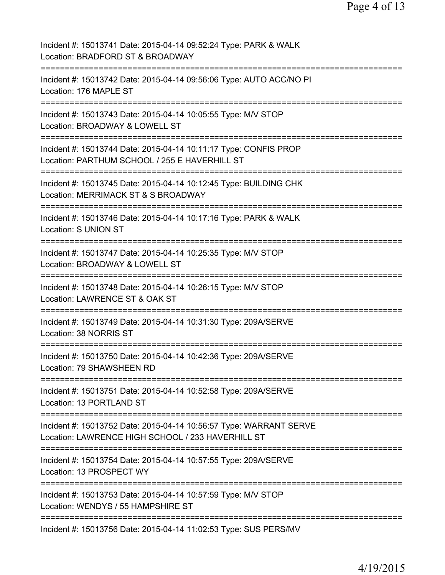| Incident #: 15013741 Date: 2015-04-14 09:52:24 Type: PARK & WALK<br>Location: BRADFORD ST & BROADWAY                                      |
|-------------------------------------------------------------------------------------------------------------------------------------------|
| Incident #: 15013742 Date: 2015-04-14 09:56:06 Type: AUTO ACC/NO PI<br>Location: 176 MAPLE ST                                             |
| Incident #: 15013743 Date: 2015-04-14 10:05:55 Type: M/V STOP<br>Location: BROADWAY & LOWELL ST                                           |
| Incident #: 15013744 Date: 2015-04-14 10:11:17 Type: CONFIS PROP<br>Location: PARTHUM SCHOOL / 255 E HAVERHILL ST                         |
| Incident #: 15013745 Date: 2015-04-14 10:12:45 Type: BUILDING CHK<br>Location: MERRIMACK ST & S BROADWAY                                  |
| Incident #: 15013746 Date: 2015-04-14 10:17:16 Type: PARK & WALK<br>Location: S UNION ST<br>=============================                 |
| Incident #: 15013747 Date: 2015-04-14 10:25:35 Type: M/V STOP<br>Location: BROADWAY & LOWELL ST<br>:===================<br>:============= |
| Incident #: 15013748 Date: 2015-04-14 10:26:15 Type: M/V STOP<br>Location: LAWRENCE ST & OAK ST                                           |
| Incident #: 15013749 Date: 2015-04-14 10:31:30 Type: 209A/SERVE<br>Location: 38 NORRIS ST                                                 |
| Incident #: 15013750 Date: 2015-04-14 10:42:36 Type: 209A/SERVE<br>Location: 79 SHAWSHEEN RD                                              |
| Incident #: 15013751 Date: 2015-04-14 10:52:58 Type: 209A/SERVE<br>Location: 13 PORTLAND ST                                               |
| Incident #: 15013752 Date: 2015-04-14 10:56:57 Type: WARRANT SERVE<br>Location: LAWRENCE HIGH SCHOOL / 233 HAVERHILL ST                   |
| Incident #: 15013754 Date: 2015-04-14 10:57:55 Type: 209A/SERVE<br>Location: 13 PROSPECT WY                                               |
| Incident #: 15013753 Date: 2015-04-14 10:57:59 Type: M/V STOP<br>Location: WENDYS / 55 HAMPSHIRE ST                                       |
| Incident #: 15013756 Date: 2015-04-14 11:02:53 Type: SUS PERS/MV                                                                          |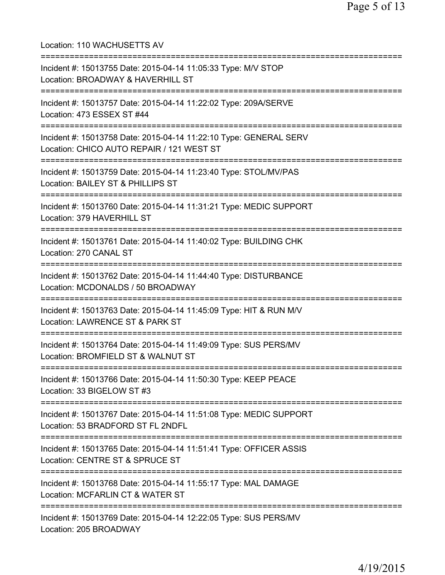Location: 110 WACHUSETTS AV =========================================================================== Incident #: 15013755 Date: 2015-04-14 11:05:33 Type: M/V STOP Location: BROADWAY & HAVERHILL ST =========================================================================== Incident #: 15013757 Date: 2015-04-14 11:22:02 Type: 209A/SERVE Location: 473 ESSEX ST #44 =========================================================================== Incident #: 15013758 Date: 2015-04-14 11:22:10 Type: GENERAL SERV Location: CHICO AUTO REPAIR / 121 WEST ST =========================================================================== Incident #: 15013759 Date: 2015-04-14 11:23:40 Type: STOL/MV/PAS Location: BAILEY ST & PHILLIPS ST =========================================================================== Incident #: 15013760 Date: 2015-04-14 11:31:21 Type: MEDIC SUPPORT Location: 379 HAVERHILL ST =========================================================================== Incident #: 15013761 Date: 2015-04-14 11:40:02 Type: BUILDING CHK Location: 270 CANAL ST =========================================================================== Incident #: 15013762 Date: 2015-04-14 11:44:40 Type: DISTURBANCE Location: MCDONALDS / 50 BROADWAY =========================================================================== Incident #: 15013763 Date: 2015-04-14 11:45:09 Type: HIT & RUN M/V Location: LAWRENCE ST & PARK ST =========================================================================== Incident #: 15013764 Date: 2015-04-14 11:49:09 Type: SUS PERS/MV Location: BROMFIELD ST & WALNUT ST =========================================================================== Incident #: 15013766 Date: 2015-04-14 11:50:30 Type: KEEP PEACE Location: 33 BIGELOW ST #3 =========================================================================== Incident #: 15013767 Date: 2015-04-14 11:51:08 Type: MEDIC SUPPORT Location: 53 BRADFORD ST FL 2NDFL =========================================================================== Incident #: 15013765 Date: 2015-04-14 11:51:41 Type: OFFICER ASSIS Location: CENTRE ST & SPRUCE ST =========================================================================== Incident #: 15013768 Date: 2015-04-14 11:55:17 Type: MAL DAMAGE Location: MCFARLIN CT & WATER ST =========================================================================== Incident #: 15013769 Date: 2015-04-14 12:22:05 Type: SUS PERS/MV Location: 205 BROADWAY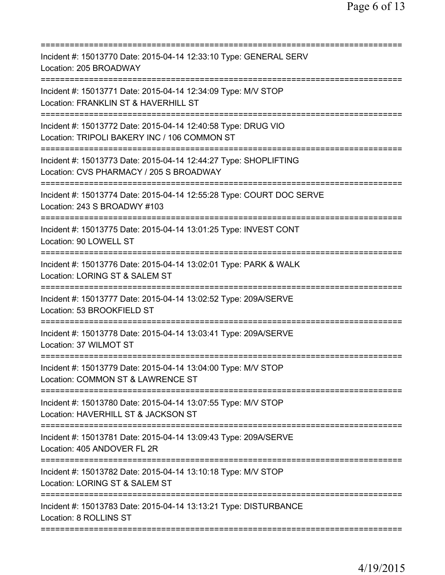| Incident #: 15013770 Date: 2015-04-14 12:33:10 Type: GENERAL SERV<br>Location: 205 BROADWAY                                                     |
|-------------------------------------------------------------------------------------------------------------------------------------------------|
| Incident #: 15013771 Date: 2015-04-14 12:34:09 Type: M/V STOP<br>Location: FRANKLIN ST & HAVERHILL ST                                           |
| Incident #: 15013772 Date: 2015-04-14 12:40:58 Type: DRUG VIO<br>Location: TRIPOLI BAKERY INC / 106 COMMON ST<br>============================== |
| Incident #: 15013773 Date: 2015-04-14 12:44:27 Type: SHOPLIFTING<br>Location: CVS PHARMACY / 205 S BROADWAY                                     |
| Incident #: 15013774 Date: 2015-04-14 12:55:28 Type: COURT DOC SERVE<br>Location: 243 S BROADWY #103                                            |
| Incident #: 15013775 Date: 2015-04-14 13:01:25 Type: INVEST CONT<br>Location: 90 LOWELL ST                                                      |
| Incident #: 15013776 Date: 2015-04-14 13:02:01 Type: PARK & WALK<br>Location: LORING ST & SALEM ST                                              |
| Incident #: 15013777 Date: 2015-04-14 13:02:52 Type: 209A/SERVE<br>Location: 53 BROOKFIELD ST                                                   |
| Incident #: 15013778 Date: 2015-04-14 13:03:41 Type: 209A/SERVE<br>Location: 37 WILMOT ST                                                       |
| ================<br>Incident #: 15013779 Date: 2015-04-14 13:04:00 Type: M/V STOP<br>Location: COMMON ST & LAWRENCE ST                          |
| Incident #: 15013780 Date: 2015-04-14 13:07:55 Type: M/V STOP<br>Location: HAVERHILL ST & JACKSON ST                                            |
| Incident #: 15013781 Date: 2015-04-14 13:09:43 Type: 209A/SERVE<br>Location: 405 ANDOVER FL 2R                                                  |
| Incident #: 15013782 Date: 2015-04-14 13:10:18 Type: M/V STOP<br>Location: LORING ST & SALEM ST                                                 |
| Incident #: 15013783 Date: 2015-04-14 13:13:21 Type: DISTURBANCE<br>Location: 8 ROLLINS ST                                                      |
|                                                                                                                                                 |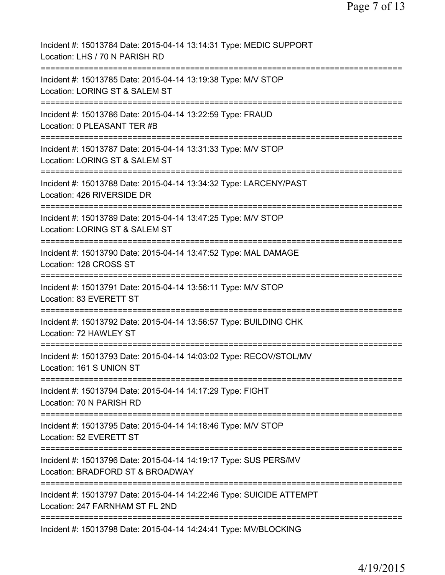| Incident #: 15013784 Date: 2015-04-14 13:14:31 Type: MEDIC SUPPORT<br>Location: LHS / 70 N PARISH RD           |
|----------------------------------------------------------------------------------------------------------------|
| Incident #: 15013785 Date: 2015-04-14 13:19:38 Type: M/V STOP<br>Location: LORING ST & SALEM ST                |
| Incident #: 15013786 Date: 2015-04-14 13:22:59 Type: FRAUD<br>Location: 0 PLEASANT TER #B                      |
| Incident #: 15013787 Date: 2015-04-14 13:31:33 Type: M/V STOP<br>Location: LORING ST & SALEM ST                |
| Incident #: 15013788 Date: 2015-04-14 13:34:32 Type: LARCENY/PAST<br>Location: 426 RIVERSIDE DR                |
| Incident #: 15013789 Date: 2015-04-14 13:47:25 Type: M/V STOP<br>Location: LORING ST & SALEM ST                |
| Incident #: 15013790 Date: 2015-04-14 13:47:52 Type: MAL DAMAGE<br>Location: 128 CROSS ST                      |
| Incident #: 15013791 Date: 2015-04-14 13:56:11 Type: M/V STOP<br>Location: 83 EVERETT ST                       |
| :==============<br>Incident #: 15013792 Date: 2015-04-14 13:56:57 Type: BUILDING CHK<br>Location: 72 HAWLEY ST |
| Incident #: 15013793 Date: 2015-04-14 14:03:02 Type: RECOV/STOL/MV<br>Location: 161 S UNION ST                 |
| Incident #: 15013794 Date: 2015-04-14 14:17:29 Type: FIGHT<br>Location: 70 N PARISH RD                         |
| Incident #: 15013795 Date: 2015-04-14 14:18:46 Type: M/V STOP<br>Location: 52 EVERETT ST                       |
| Incident #: 15013796 Date: 2015-04-14 14:19:17 Type: SUS PERS/MV<br>Location: BRADFORD ST & BROADWAY           |
| Incident #: 15013797 Date: 2015-04-14 14:22:46 Type: SUICIDE ATTEMPT<br>Location: 247 FARNHAM ST FL 2ND        |
| Incident #: 15013798 Date: 2015-04-14 14:24:41 Type: MV/BLOCKING                                               |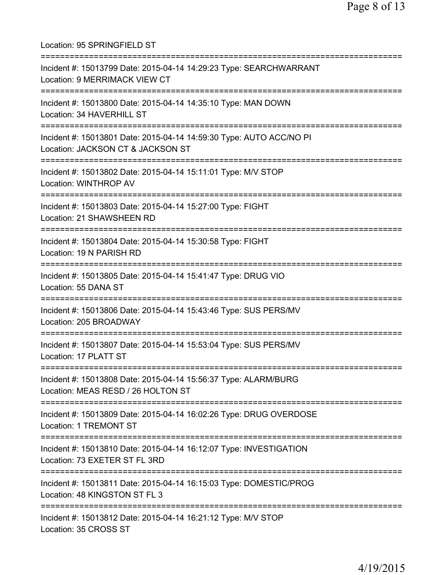Location: 95 SPRINGFIELD ST =========================================================================== Incident #: 15013799 Date: 2015-04-14 14:29:23 Type: SEARCHWARRANT Location: 9 MERRIMACK VIEW CT =========================================================================== Incident #: 15013800 Date: 2015-04-14 14:35:10 Type: MAN DOWN Location: 34 HAVERHILL ST =========================================================================== Incident #: 15013801 Date: 2015-04-14 14:59:30 Type: AUTO ACC/NO PI Location: JACKSON CT & JACKSON ST =========================================================================== Incident #: 15013802 Date: 2015-04-14 15:11:01 Type: M/V STOP Location: WINTHROP AV =========================================================================== Incident #: 15013803 Date: 2015-04-14 15:27:00 Type: FIGHT Location: 21 SHAWSHEEN RD =========================================================================== Incident #: 15013804 Date: 2015-04-14 15:30:58 Type: FIGHT Location: 19 N PARISH RD =========================================================================== Incident #: 15013805 Date: 2015-04-14 15:41:47 Type: DRUG VIO Location: 55 DANA ST =========================================================================== Incident #: 15013806 Date: 2015-04-14 15:43:46 Type: SUS PERS/MV Location: 205 BROADWAY =========================================================================== Incident #: 15013807 Date: 2015-04-14 15:53:04 Type: SUS PERS/MV Location: 17 PLATT ST =========================================================================== Incident #: 15013808 Date: 2015-04-14 15:56:37 Type: ALARM/BURG Location: MEAS RESD / 26 HOLTON ST =========================================================================== Incident #: 15013809 Date: 2015-04-14 16:02:26 Type: DRUG OVERDOSE Location: 1 TREMONT ST =========================================================================== Incident #: 15013810 Date: 2015-04-14 16:12:07 Type: INVESTIGATION Location: 73 EXETER ST FL 3RD =========================================================================== Incident #: 15013811 Date: 2015-04-14 16:15:03 Type: DOMESTIC/PROG Location: 48 KINGSTON ST FL 3 =========================================================================== Incident #: 15013812 Date: 2015-04-14 16:21:12 Type: M/V STOP Location: 35 CROSS ST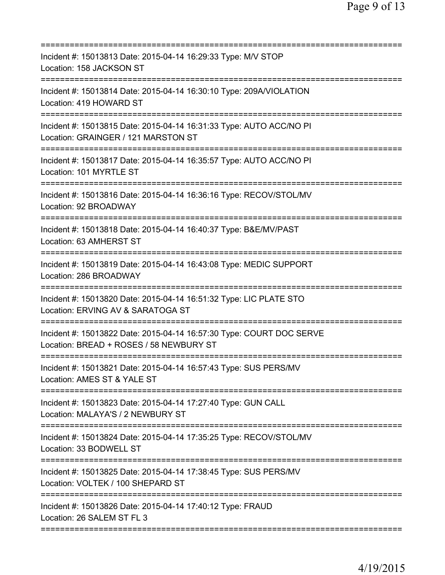| Incident #: 15013813 Date: 2015-04-14 16:29:33 Type: M/V STOP<br>Location: 158 JACKSON ST                       |
|-----------------------------------------------------------------------------------------------------------------|
| Incident #: 15013814 Date: 2015-04-14 16:30:10 Type: 209A/VIOLATION<br>Location: 419 HOWARD ST                  |
| Incident #: 15013815 Date: 2015-04-14 16:31:33 Type: AUTO ACC/NO PI<br>Location: GRAINGER / 121 MARSTON ST      |
| Incident #: 15013817 Date: 2015-04-14 16:35:57 Type: AUTO ACC/NO PI<br>Location: 101 MYRTLE ST                  |
| Incident #: 15013816 Date: 2015-04-14 16:36:16 Type: RECOV/STOL/MV<br>Location: 92 BROADWAY                     |
| Incident #: 15013818 Date: 2015-04-14 16:40:37 Type: B&E/MV/PAST<br>Location: 63 AMHERST ST                     |
| Incident #: 15013819 Date: 2015-04-14 16:43:08 Type: MEDIC SUPPORT<br>Location: 286 BROADWAY                    |
| Incident #: 15013820 Date: 2015-04-14 16:51:32 Type: LIC PLATE STO<br>Location: ERVING AV & SARATOGA ST         |
| Incident #: 15013822 Date: 2015-04-14 16:57:30 Type: COURT DOC SERVE<br>Location: BREAD + ROSES / 58 NEWBURY ST |
| Incident #: 15013821 Date: 2015-04-14 16:57:43 Type: SUS PERS/MV<br>Location: AMES ST & YALE ST                 |
| Incident #: 15013823 Date: 2015-04-14 17:27:40 Type: GUN CALL<br>Location: MALAYA'S / 2 NEWBURY ST              |
| Incident #: 15013824 Date: 2015-04-14 17:35:25 Type: RECOV/STOL/MV<br>Location: 33 BODWELL ST                   |
| Incident #: 15013825 Date: 2015-04-14 17:38:45 Type: SUS PERS/MV<br>Location: VOLTEK / 100 SHEPARD ST           |
| Incident #: 15013826 Date: 2015-04-14 17:40:12 Type: FRAUD<br>Location: 26 SALEM ST FL 3                        |
|                                                                                                                 |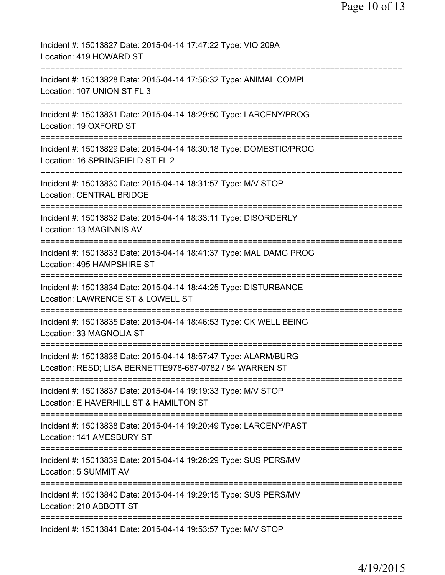| Incident #: 15013827 Date: 2015-04-14 17:47:22 Type: VIO 209A<br>Location: 419 HOWARD ST                                                        |
|-------------------------------------------------------------------------------------------------------------------------------------------------|
| =====================================<br>Incident #: 15013828 Date: 2015-04-14 17:56:32 Type: ANIMAL COMPL<br>Location: 107 UNION ST FL 3       |
| Incident #: 15013831 Date: 2015-04-14 18:29:50 Type: LARCENY/PROG<br>Location: 19 OXFORD ST                                                     |
| Incident #: 15013829 Date: 2015-04-14 18:30:18 Type: DOMESTIC/PROG<br>Location: 16 SPRINGFIELD ST FL 2                                          |
| Incident #: 15013830 Date: 2015-04-14 18:31:57 Type: M/V STOP<br><b>Location: CENTRAL BRIDGE</b>                                                |
| Incident #: 15013832 Date: 2015-04-14 18:33:11 Type: DISORDERLY<br>Location: 13 MAGINNIS AV                                                     |
| Incident #: 15013833 Date: 2015-04-14 18:41:37 Type: MAL DAMG PROG<br>Location: 495 HAMPSHIRE ST                                                |
| Incident #: 15013834 Date: 2015-04-14 18:44:25 Type: DISTURBANCE<br>Location: LAWRENCE ST & LOWELL ST                                           |
| ============================<br>-------------<br>Incident #: 15013835 Date: 2015-04-14 18:46:53 Type: CK WELL BEING<br>Location: 33 MAGNOLIA ST |
| Incident #: 15013836 Date: 2015-04-14 18:57:47 Type: ALARM/BURG<br>Location: RESD; LISA BERNETTE978-687-0782 / 84 WARREN ST                     |
| Incident #: 15013837 Date: 2015-04-14 19:19:33 Type: M/V STOP<br>Location: E HAVERHILL ST & HAMILTON ST                                         |
| Incident #: 15013838 Date: 2015-04-14 19:20:49 Type: LARCENY/PAST<br>Location: 141 AMESBURY ST                                                  |
| Incident #: 15013839 Date: 2015-04-14 19:26:29 Type: SUS PERS/MV<br>Location: 5 SUMMIT AV                                                       |
| Incident #: 15013840 Date: 2015-04-14 19:29:15 Type: SUS PERS/MV<br>Location: 210 ABBOTT ST                                                     |
| Incident #: 15013841 Date: 2015-04-14 19:53:57 Type: M/V STOP                                                                                   |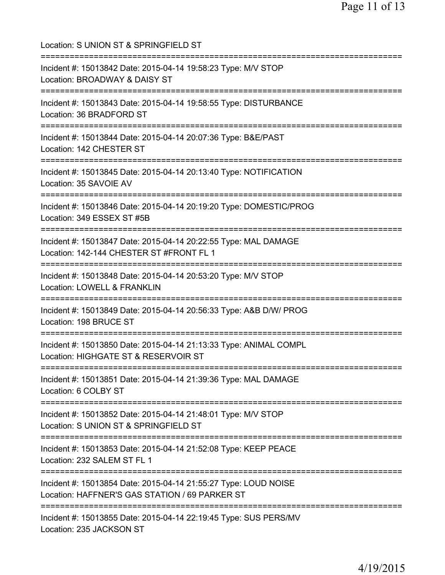Location: S UNION ST & SPRINGFIELD ST =========================================================================== Incident #: 15013842 Date: 2015-04-14 19:58:23 Type: M/V STOP Location: BROADWAY & DAISY ST =========================================================================== Incident #: 15013843 Date: 2015-04-14 19:58:55 Type: DISTURBANCE Location: 36 BRADFORD ST =========================================================================== Incident #: 15013844 Date: 2015-04-14 20:07:36 Type: B&E/PAST Location: 142 CHESTER ST =========================================================================== Incident #: 15013845 Date: 2015-04-14 20:13:40 Type: NOTIFICATION Location: 35 SAVOIE AV =========================================================================== Incident #: 15013846 Date: 2015-04-14 20:19:20 Type: DOMESTIC/PROG Location: 349 ESSEX ST #5B =========================================================================== Incident #: 15013847 Date: 2015-04-14 20:22:55 Type: MAL DAMAGE Location: 142-144 CHESTER ST #FRONT FL 1 =========================================================================== Incident #: 15013848 Date: 2015-04-14 20:53:20 Type: M/V STOP Location: LOWELL & FRANKLIN =========================================================================== Incident #: 15013849 Date: 2015-04-14 20:56:33 Type: A&B D/W/ PROG Location: 198 BRUCE ST =========================================================================== Incident #: 15013850 Date: 2015-04-14 21:13:33 Type: ANIMAL COMPL Location: HIGHGATE ST & RESERVOIR ST =========================================================================== Incident #: 15013851 Date: 2015-04-14 21:39:36 Type: MAL DAMAGE Location: 6 COLBY ST =========================================================================== Incident #: 15013852 Date: 2015-04-14 21:48:01 Type: M/V STOP Location: S UNION ST & SPRINGFIELD ST =========================================================================== Incident #: 15013853 Date: 2015-04-14 21:52:08 Type: KEEP PEACE Location: 232 SALEM ST FL 1 =========================================================================== Incident #: 15013854 Date: 2015-04-14 21:55:27 Type: LOUD NOISE Location: HAFFNER'S GAS STATION / 69 PARKER ST =========================================================================== Incident #: 15013855 Date: 2015-04-14 22:19:45 Type: SUS PERS/MV Location: 235 JACKSON ST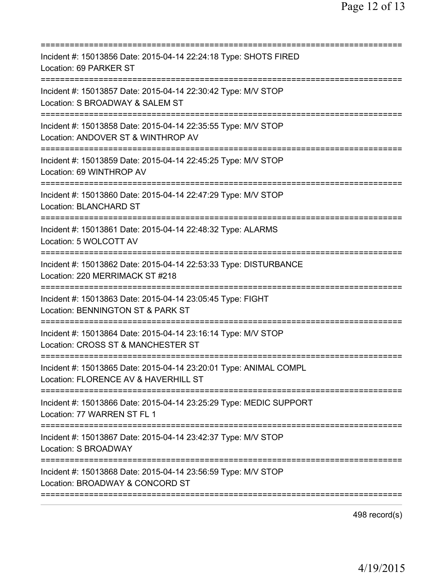| Incident #: 15013856 Date: 2015-04-14 22:24:18 Type: SHOTS FIRED<br>Location: 69 PARKER ST                                                    |
|-----------------------------------------------------------------------------------------------------------------------------------------------|
| Incident #: 15013857 Date: 2015-04-14 22:30:42 Type: M/V STOP<br>Location: S BROADWAY & SALEM ST                                              |
| Incident #: 15013858 Date: 2015-04-14 22:35:55 Type: M/V STOP<br>Location: ANDOVER ST & WINTHROP AV                                           |
| Incident #: 15013859 Date: 2015-04-14 22:45:25 Type: M/V STOP<br>Location: 69 WINTHROP AV                                                     |
| Incident #: 15013860 Date: 2015-04-14 22:47:29 Type: M/V STOP<br><b>Location: BLANCHARD ST</b>                                                |
| Incident #: 15013861 Date: 2015-04-14 22:48:32 Type: ALARMS<br>Location: 5 WOLCOTT AV<br>======================================               |
| Incident #: 15013862 Date: 2015-04-14 22:53:33 Type: DISTURBANCE<br>Location: 220 MERRIMACK ST #218<br>============<br>====================== |
| Incident #: 15013863 Date: 2015-04-14 23:05:45 Type: FIGHT<br>Location: BENNINGTON ST & PARK ST                                               |
| Incident #: 15013864 Date: 2015-04-14 23:16:14 Type: M/V STOP<br>Location: CROSS ST & MANCHESTER ST                                           |
| Incident #: 15013865 Date: 2015-04-14 23:20:01 Type: ANIMAL COMPL<br>Location: FLORENCE AV & HAVERHILL ST                                     |
| Incident #: 15013866 Date: 2015-04-14 23:25:29 Type: MEDIC SUPPORT<br>Location: 77 WARREN ST FL 1                                             |
| Incident #: 15013867 Date: 2015-04-14 23:42:37 Type: M/V STOP<br>Location: S BROADWAY                                                         |
| Incident #: 15013868 Date: 2015-04-14 23:56:59 Type: M/V STOP<br>Location: BROADWAY & CONCORD ST                                              |
|                                                                                                                                               |

498 record(s)